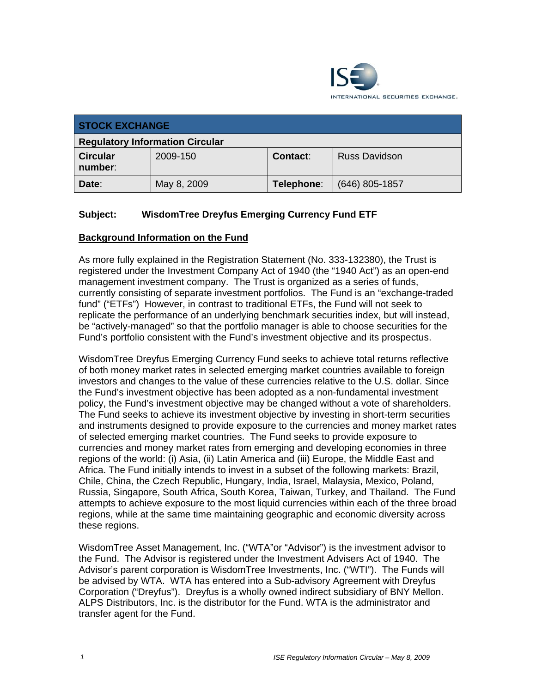

| <b>STOCK EXCHANGE</b>                  |             |            |                      |
|----------------------------------------|-------------|------------|----------------------|
| <b>Regulatory Information Circular</b> |             |            |                      |
| <b>Circular</b><br>number:             | 2009-150    | Contact:   | <b>Russ Davidson</b> |
| Date:                                  | May 8, 2009 | Telephone: | $(646)$ 805-1857     |

## **Subject: WisdomTree Dreyfus Emerging Currency Fund ETF**

### **Background Information on the Fund**

As more fully explained in the Registration Statement (No. 333-132380), the Trust is registered under the Investment Company Act of 1940 (the "1940 Act") as an open-end management investment company. The Trust is organized as a series of funds, currently consisting of separate investment portfolios. The Fund is an "exchange-traded fund" ("ETFs") However, in contrast to traditional ETFs, the Fund will not seek to replicate the performance of an underlying benchmark securities index, but will instead, be "actively-managed" so that the portfolio manager is able to choose securities for the Fund's portfolio consistent with the Fund's investment objective and its prospectus.

WisdomTree Dreyfus Emerging Currency Fund seeks to achieve total returns reflective of both money market rates in selected emerging market countries available to foreign investors and changes to the value of these currencies relative to the U.S. dollar. Since the Fund's investment objective has been adopted as a non-fundamental investment policy, the Fund's investment objective may be changed without a vote of shareholders. The Fund seeks to achieve its investment objective by investing in short-term securities and instruments designed to provide exposure to the currencies and money market rates of selected emerging market countries. The Fund seeks to provide exposure to currencies and money market rates from emerging and developing economies in three regions of the world: (i) Asia, (ii) Latin America and (iii) Europe, the Middle East and Africa. The Fund initially intends to invest in a subset of the following markets: Brazil, Chile, China, the Czech Republic, Hungary, India, Israel, Malaysia, Mexico, Poland, Russia, Singapore, South Africa, South Korea, Taiwan, Turkey, and Thailand. The Fund attempts to achieve exposure to the most liquid currencies within each of the three broad regions, while at the same time maintaining geographic and economic diversity across these regions.

WisdomTree Asset Management, Inc. ("WTA"or "Advisor") is the investment advisor to the Fund. The Advisor is registered under the Investment Advisers Act of 1940. The Advisor's parent corporation is WisdomTree Investments, Inc. ("WTI"). The Funds will be advised by WTA. WTA has entered into a Sub-advisory Agreement with Dreyfus Corporation ("Dreyfus"). Dreyfus is a wholly owned indirect subsidiary of BNY Mellon. ALPS Distributors, Inc. is the distributor for the Fund. WTA is the administrator and transfer agent for the Fund.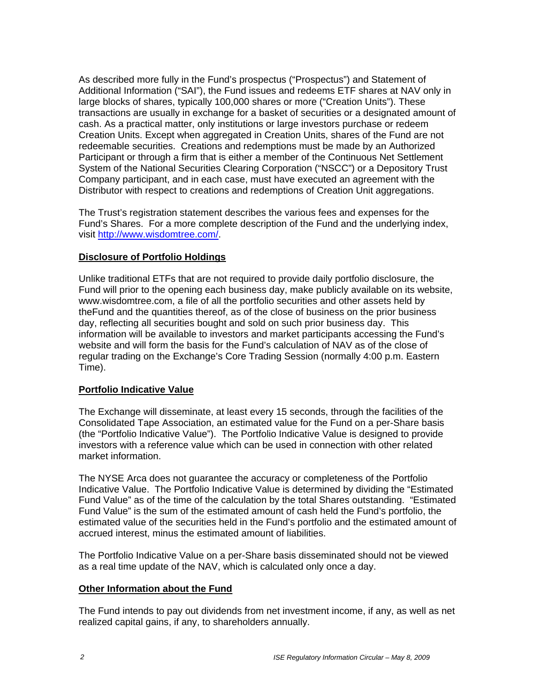As described more fully in the Fund's prospectus ("Prospectus") and Statement of Additional Information ("SAI"), the Fund issues and redeems ETF shares at NAV only in large blocks of shares, typically 100,000 shares or more ("Creation Units"). These transactions are usually in exchange for a basket of securities or a designated amount of cash. As a practical matter, only institutions or large investors purchase or redeem Creation Units. Except when aggregated in Creation Units, shares of the Fund are not redeemable securities. Creations and redemptions must be made by an Authorized Participant or through a firm that is either a member of the Continuous Net Settlement System of the National Securities Clearing Corporation ("NSCC") or a Depository Trust Company participant, and in each case, must have executed an agreement with the Distributor with respect to creations and redemptions of Creation Unit aggregations.

The Trust's registration statement describes the various fees and expenses for the Fund's Shares. For a more complete description of the Fund and the underlying index, visit http://www.wisdomtree.com/.

### **Disclosure of Portfolio Holdings**

Unlike traditional ETFs that are not required to provide daily portfolio disclosure, the Fund will prior to the opening each business day, make publicly available on its website, www.wisdomtree.com, a file of all the portfolio securities and other assets held by theFund and the quantities thereof, as of the close of business on the prior business day, reflecting all securities bought and sold on such prior business day. This information will be available to investors and market participants accessing the Fund's website and will form the basis for the Fund's calculation of NAV as of the close of regular trading on the Exchange's Core Trading Session (normally 4:00 p.m. Eastern Time).

#### **Portfolio Indicative Value**

The Exchange will disseminate, at least every 15 seconds, through the facilities of the Consolidated Tape Association, an estimated value for the Fund on a per-Share basis (the "Portfolio Indicative Value"). The Portfolio Indicative Value is designed to provide investors with a reference value which can be used in connection with other related market information.

The NYSE Arca does not guarantee the accuracy or completeness of the Portfolio Indicative Value. The Portfolio Indicative Value is determined by dividing the "Estimated Fund Value" as of the time of the calculation by the total Shares outstanding. "Estimated Fund Value" is the sum of the estimated amount of cash held the Fund's portfolio, the estimated value of the securities held in the Fund's portfolio and the estimated amount of accrued interest, minus the estimated amount of liabilities.

The Portfolio Indicative Value on a per-Share basis disseminated should not be viewed as a real time update of the NAV, which is calculated only once a day.

#### **Other Information about the Fund**

The Fund intends to pay out dividends from net investment income, if any, as well as net realized capital gains, if any, to shareholders annually.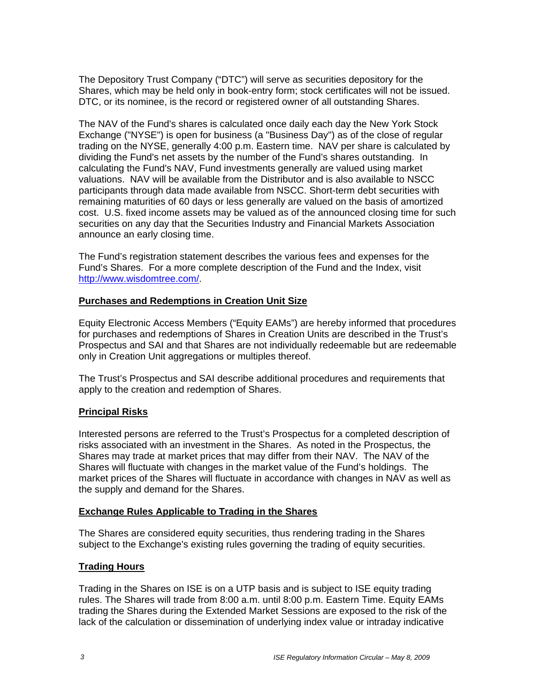The Depository Trust Company ("DTC") will serve as securities depository for the Shares, which may be held only in book-entry form; stock certificates will not be issued. DTC, or its nominee, is the record or registered owner of all outstanding Shares.

The NAV of the Fund's shares is calculated once daily each day the New York Stock Exchange ("NYSE") is open for business (a "Business Day") as of the close of regular trading on the NYSE, generally 4:00 p.m. Eastern time. NAV per share is calculated by dividing the Fund's net assets by the number of the Fund's shares outstanding. In calculating the Fund's NAV, Fund investments generally are valued using market valuations. NAV will be available from the Distributor and is also available to NSCC participants through data made available from NSCC. Short-term debt securities with remaining maturities of 60 days or less generally are valued on the basis of amortized cost. U.S. fixed income assets may be valued as of the announced closing time for such securities on any day that the Securities Industry and Financial Markets Association announce an early closing time.

The Fund's registration statement describes the various fees and expenses for the Fund's Shares. For a more complete description of the Fund and the Index, visit http://www.wisdomtree.com/.

### **Purchases and Redemptions in Creation Unit Size**

Equity Electronic Access Members ("Equity EAMs") are hereby informed that procedures for purchases and redemptions of Shares in Creation Units are described in the Trust's Prospectus and SAI and that Shares are not individually redeemable but are redeemable only in Creation Unit aggregations or multiples thereof.

The Trust's Prospectus and SAI describe additional procedures and requirements that apply to the creation and redemption of Shares.

### **Principal Risks**

Interested persons are referred to the Trust's Prospectus for a completed description of risks associated with an investment in the Shares. As noted in the Prospectus, the Shares may trade at market prices that may differ from their NAV. The NAV of the Shares will fluctuate with changes in the market value of the Fund's holdings. The market prices of the Shares will fluctuate in accordance with changes in NAV as well as the supply and demand for the Shares.

### **Exchange Rules Applicable to Trading in the Shares**

The Shares are considered equity securities, thus rendering trading in the Shares subject to the Exchange's existing rules governing the trading of equity securities.

### **Trading Hours**

Trading in the Shares on ISE is on a UTP basis and is subject to ISE equity trading rules. The Shares will trade from 8:00 a.m. until 8:00 p.m. Eastern Time. Equity EAMs trading the Shares during the Extended Market Sessions are exposed to the risk of the lack of the calculation or dissemination of underlying index value or intraday indicative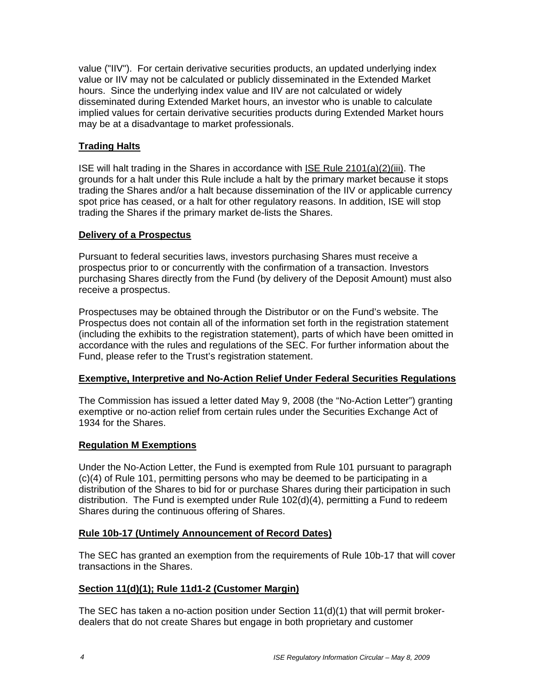value ("IIV"). For certain derivative securities products, an updated underlying index value or IIV may not be calculated or publicly disseminated in the Extended Market hours. Since the underlying index value and IIV are not calculated or widely disseminated during Extended Market hours, an investor who is unable to calculate implied values for certain derivative securities products during Extended Market hours may be at a disadvantage to market professionals.

# **Trading Halts**

ISE will halt trading in the Shares in accordance with ISE Rule 2101(a)(2)(iii). The grounds for a halt under this Rule include a halt by the primary market because it stops trading the Shares and/or a halt because dissemination of the IIV or applicable currency spot price has ceased, or a halt for other regulatory reasons. In addition, ISE will stop trading the Shares if the primary market de-lists the Shares.

### **Delivery of a Prospectus**

Pursuant to federal securities laws, investors purchasing Shares must receive a prospectus prior to or concurrently with the confirmation of a transaction. Investors purchasing Shares directly from the Fund (by delivery of the Deposit Amount) must also receive a prospectus.

Prospectuses may be obtained through the Distributor or on the Fund's website. The Prospectus does not contain all of the information set forth in the registration statement (including the exhibits to the registration statement), parts of which have been omitted in accordance with the rules and regulations of the SEC. For further information about the Fund, please refer to the Trust's registration statement.

### **Exemptive, Interpretive and No-Action Relief Under Federal Securities Regulations**

The Commission has issued a letter dated May 9, 2008 (the "No-Action Letter") granting exemptive or no-action relief from certain rules under the Securities Exchange Act of 1934 for the Shares.

## **Regulation M Exemptions**

Under the No-Action Letter, the Fund is exempted from Rule 101 pursuant to paragraph (c)(4) of Rule 101, permitting persons who may be deemed to be participating in a distribution of the Shares to bid for or purchase Shares during their participation in such distribution. The Fund is exempted under Rule 102(d)(4), permitting a Fund to redeem Shares during the continuous offering of Shares.

### **Rule 10b-17 (Untimely Announcement of Record Dates)**

The SEC has granted an exemption from the requirements of Rule 10b-17 that will cover transactions in the Shares.

### **Section 11(d)(1); Rule 11d1-2 (Customer Margin)**

The SEC has taken a no-action position under Section 11(d)(1) that will permit brokerdealers that do not create Shares but engage in both proprietary and customer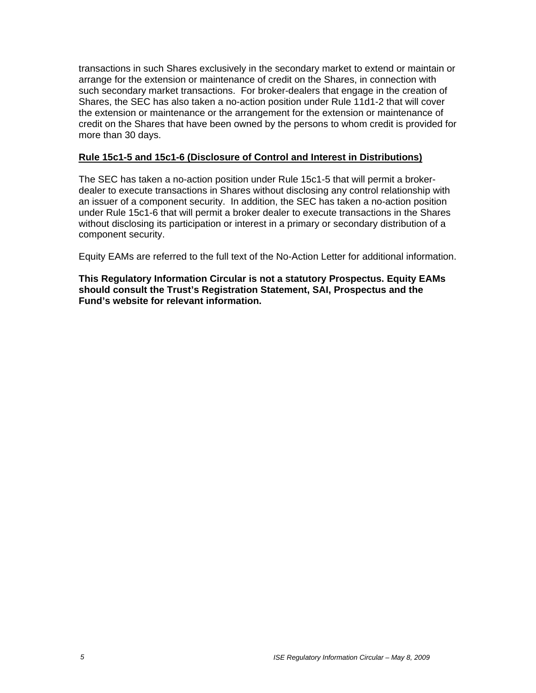transactions in such Shares exclusively in the secondary market to extend or maintain or arrange for the extension or maintenance of credit on the Shares, in connection with such secondary market transactions. For broker-dealers that engage in the creation of Shares, the SEC has also taken a no-action position under Rule 11d1-2 that will cover the extension or maintenance or the arrangement for the extension or maintenance of credit on the Shares that have been owned by the persons to whom credit is provided for more than 30 days.

#### **Rule 15c1-5 and 15c1-6 (Disclosure of Control and Interest in Distributions)**

The SEC has taken a no-action position under Rule 15c1-5 that will permit a brokerdealer to execute transactions in Shares without disclosing any control relationship with an issuer of a component security. In addition, the SEC has taken a no-action position under Rule 15c1-6 that will permit a broker dealer to execute transactions in the Shares without disclosing its participation or interest in a primary or secondary distribution of a component security.

Equity EAMs are referred to the full text of the No-Action Letter for additional information.

**This Regulatory Information Circular is not a statutory Prospectus. Equity EAMs should consult the Trust's Registration Statement, SAI, Prospectus and the Fund's website for relevant information.**